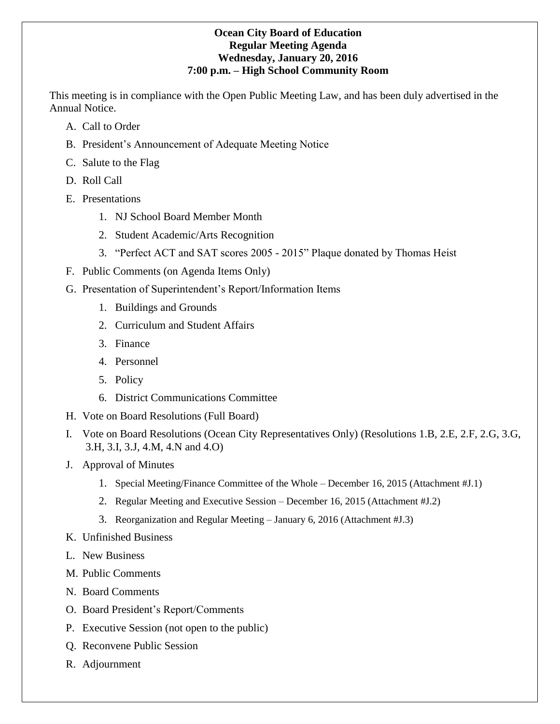### **Ocean City Board of Education Regular Meeting Agenda Wednesday, January 20, 2016 7:00 p.m. – High School Community Room**

This meeting is in compliance with the Open Public Meeting Law, and has been duly advertised in the Annual Notice.

- A. Call to Order
- B. President's Announcement of Adequate Meeting Notice
- C. Salute to the Flag
- D. Roll Call
- E. Presentations
	- 1. NJ School Board Member Month
	- 2. Student Academic/Arts Recognition
	- 3. "Perfect ACT and SAT scores 2005 2015" Plaque donated by Thomas Heist
- F. Public Comments (on Agenda Items Only)
- G. Presentation of Superintendent's Report/Information Items
	- 1. Buildings and Grounds
	- 2. Curriculum and Student Affairs
	- 3. Finance
	- 4. Personnel
	- 5. Policy
	- 6. District Communications Committee
- H. Vote on Board Resolutions (Full Board)
- I. Vote on Board Resolutions (Ocean City Representatives Only) (Resolutions 1.B, 2.E, 2.F, 2.G, 3.G, 3.H, 3.I, 3.J, 4.M, 4.N and 4.O)
- J. Approval of Minutes
	- 1. Special Meeting/Finance Committee of the Whole December 16, 2015 (Attachment #J.1)
	- 2. Regular Meeting and Executive Session December 16, 2015 (Attachment #J.2)
	- 3. Reorganization and Regular Meeting January 6, 2016 (Attachment #J.3)
- K. Unfinished Business
- L. New Business
- M. Public Comments
- N. Board Comments
- O. Board President's Report/Comments
- P. Executive Session (not open to the public)
- Q. Reconvene Public Session
- R. Adjournment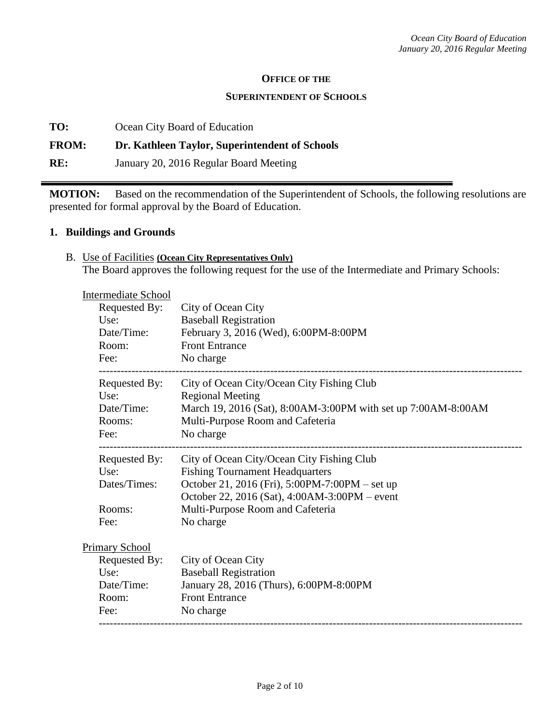#### **OFFICE OF THE**

#### **SUPERINTENDENT OF SCHOOLS**

**TO:** Ocean City Board of Education

### **FROM: Dr. Kathleen Taylor, Superintendent of Schools**

**RE:** January 20, 2016 Regular Board Meeting

**MOTION:** Based on the recommendation of the Superintendent of Schools, the following resolutions are presented for formal approval by the Board of Education.

### **1. Buildings and Grounds**

B. Use of Facilities **(Ocean City Representatives Only)** The Board approves the following request for the use of the Intermediate and Primary Schools:

| <b>Intermediate School</b> |                                                               |
|----------------------------|---------------------------------------------------------------|
| Requested By:              | City of Ocean City                                            |
| Use:                       | <b>Baseball Registration</b>                                  |
| Date/Time:                 | February 3, 2016 (Wed), 6:00PM-8:00PM                         |
| Room:                      | <b>Front Entrance</b>                                         |
| Fee:                       | No charge                                                     |
| Requested By:              | City of Ocean City/Ocean City Fishing Club                    |
| Use:                       | <b>Regional Meeting</b>                                       |
| Date/Time:                 | March 19, 2016 (Sat), 8:00AM-3:00PM with set up 7:00AM-8:00AM |
| Rooms:                     | Multi-Purpose Room and Cafeteria                              |
| Fee:                       | No charge                                                     |
| Requested By:              | City of Ocean City/Ocean City Fishing Club                    |
| Use:                       | <b>Fishing Tournament Headquarters</b>                        |
| Dates/Times:               | October 21, 2016 (Fri), 5:00PM-7:00PM – set up                |
|                            | October 22, 2016 (Sat), 4:00AM-3:00PM – event                 |
| Rooms:                     | Multi-Purpose Room and Cafeteria                              |
| Fee:                       | No charge                                                     |
| <b>Primary School</b>      |                                                               |
| Requested By:              | City of Ocean City                                            |
| Use:                       | <b>Baseball Registration</b>                                  |
| Date/Time:                 | January 28, 2016 (Thurs), 6:00PM-8:00PM                       |
| Room:                      | <b>Front Entrance</b>                                         |
| Fee:                       | No charge                                                     |
|                            |                                                               |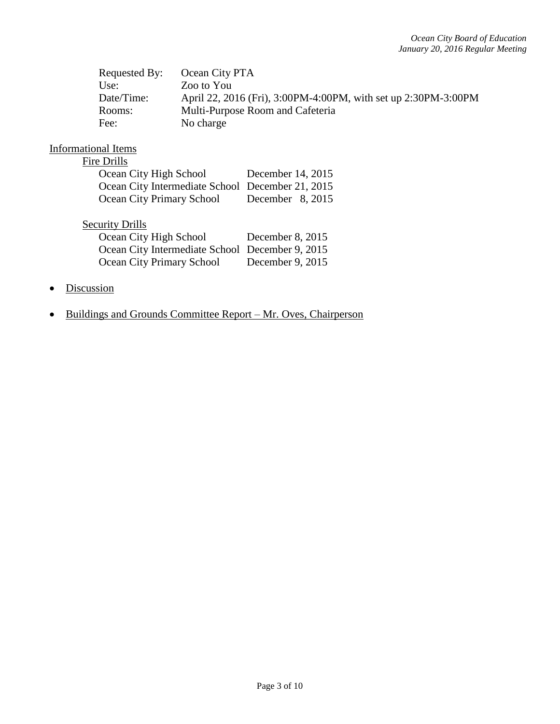| Requested By: | Ocean City PTA                                                 |
|---------------|----------------------------------------------------------------|
| Use:          | Zoo to You                                                     |
| Date/Time:    | April 22, 2016 (Fri), 3:00PM-4:00PM, with set up 2:30PM-3:00PM |
| Rooms:        | Multi-Purpose Room and Cafeteria                               |
| Fee:          | No charge                                                      |

### Informational Items

### Fire Drills

| Ocean City High School                           | December 14, 2015  |
|--------------------------------------------------|--------------------|
| Ocean City Intermediate School December 21, 2015 |                    |
| <b>Ocean City Primary School</b>                 | December $8, 2015$ |

# **Security Drills**

| Ocean City High School                          | December 8, 2015 |
|-------------------------------------------------|------------------|
| Ocean City Intermediate School December 9, 2015 |                  |
| Ocean City Primary School                       | December 9, 2015 |

- Discussion
- Buildings and Grounds Committee Report Mr. Oves, Chairperson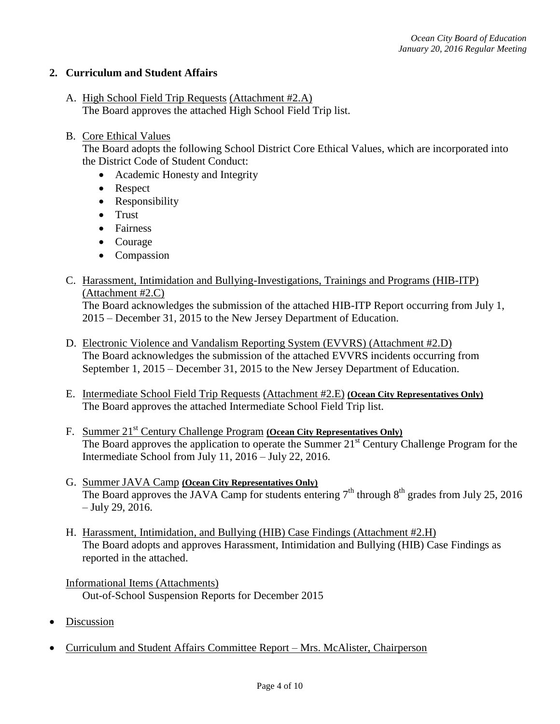## **2. Curriculum and Student Affairs**

- A. High School Field Trip Requests (Attachment #2.A) The Board approves the attached High School Field Trip list.
- B. Core Ethical Values

The Board adopts the following School District Core Ethical Values, which are incorporated into the District Code of Student Conduct:

- Academic Honesty and Integrity
- Respect
- Responsibility
- Trust
- Fairness
- Courage
- Compassion
- C. Harassment, Intimidation and Bullying-Investigations, Trainings and Programs (HIB-ITP) (Attachment #2.C)

The Board acknowledges the submission of the attached HIB-ITP Report occurring from July 1, 2015 – December 31, 2015 to the New Jersey Department of Education.

- D. Electronic Violence and Vandalism Reporting System (EVVRS) (Attachment #2.D) The Board acknowledges the submission of the attached EVVRS incidents occurring from September 1, 2015 – December 31, 2015 to the New Jersey Department of Education.
- E. Intermediate School Field Trip Requests (Attachment #2.E) **(Ocean City Representatives Only)** The Board approves the attached Intermediate School Field Trip list.
- F. Summer 21st Century Challenge Program **(Ocean City Representatives Only)** The Board approves the application to operate the Summer 21<sup>st</sup> Century Challenge Program for the Intermediate School from July 11, 2016 – July 22, 2016.
- G. Summer JAVA Camp **(Ocean City Representatives Only)** The Board approves the JAVA Camp for students entering  $7<sup>th</sup>$  through  $8<sup>th</sup>$  grades from July 25, 2016 – July 29, 2016.
- H. Harassment, Intimidation, and Bullying (HIB) Case Findings (Attachment #2.H) The Board adopts and approves Harassment, Intimidation and Bullying (HIB) Case Findings as reported in the attached.
- Informational Items (Attachments) Out-of-School Suspension Reports for December 2015
- Discussion
- Curriculum and Student Affairs Committee Report Mrs. McAlister, Chairperson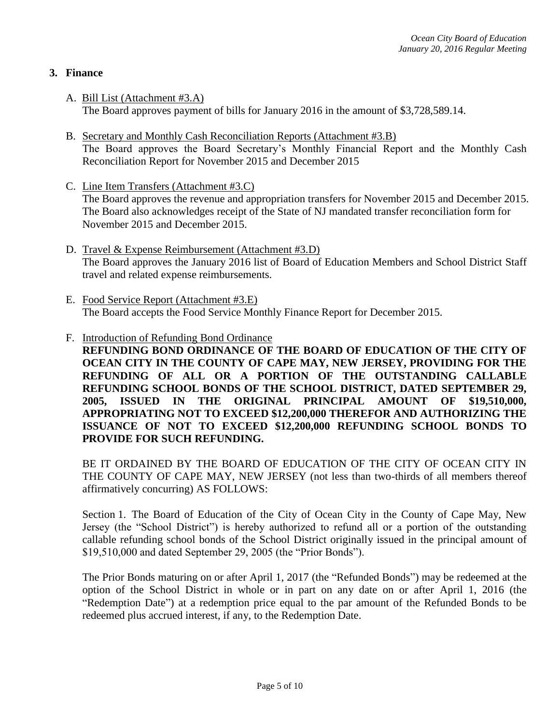## **3. Finance**

- A. Bill List (Attachment #3.A) The Board approves payment of bills for January 2016 in the amount of \$3,728,589.14.
- B. Secretary and Monthly Cash Reconciliation Reports (Attachment #3.B) The Board approves the Board Secretary's Monthly Financial Report and the Monthly Cash Reconciliation Report for November 2015 and December 2015
- C. Line Item Transfers (Attachment #3.C) The Board approves the revenue and appropriation transfers for November 2015 and December 2015. The Board also acknowledges receipt of the State of NJ mandated transfer reconciliation form for November 2015 and December 2015.
- D. Travel & Expense Reimbursement (Attachment #3.D) The Board approves the January 2016 list of Board of Education Members and School District Staff travel and related expense reimbursements.
- E. Food Service Report (Attachment #3.E) The Board accepts the Food Service Monthly Finance Report for December 2015.
- F. Introduction of Refunding Bond Ordinance **REFUNDING BOND ORDINANCE OF THE BOARD OF EDUCATION OF THE CITY OF OCEAN CITY IN THE COUNTY OF CAPE MAY, NEW JERSEY, PROVIDING FOR THE REFUNDING OF ALL OR A PORTION OF THE OUTSTANDING CALLABLE REFUNDING SCHOOL BONDS OF THE SCHOOL DISTRICT, DATED SEPTEMBER 29, 2005, ISSUED IN THE ORIGINAL PRINCIPAL AMOUNT OF \$19,510,000, APPROPRIATING NOT TO EXCEED \$12,200,000 THEREFOR AND AUTHORIZING THE ISSUANCE OF NOT TO EXCEED \$12,200,000 REFUNDING SCHOOL BONDS TO PROVIDE FOR SUCH REFUNDING.**

BE IT ORDAINED BY THE BOARD OF EDUCATION OF THE CITY OF OCEAN CITY IN THE COUNTY OF CAPE MAY, NEW JERSEY (not less than two-thirds of all members thereof affirmatively concurring) AS FOLLOWS:

Section 1. The Board of Education of the City of Ocean City in the County of Cape May, New Jersey (the "School District") is hereby authorized to refund all or a portion of the outstanding callable refunding school bonds of the School District originally issued in the principal amount of \$19,510,000 and dated September 29, 2005 (the "Prior Bonds").

The Prior Bonds maturing on or after April 1, 2017 (the "Refunded Bonds") may be redeemed at the option of the School District in whole or in part on any date on or after April 1, 2016 (the "Redemption Date") at a redemption price equal to the par amount of the Refunded Bonds to be redeemed plus accrued interest, if any, to the Redemption Date.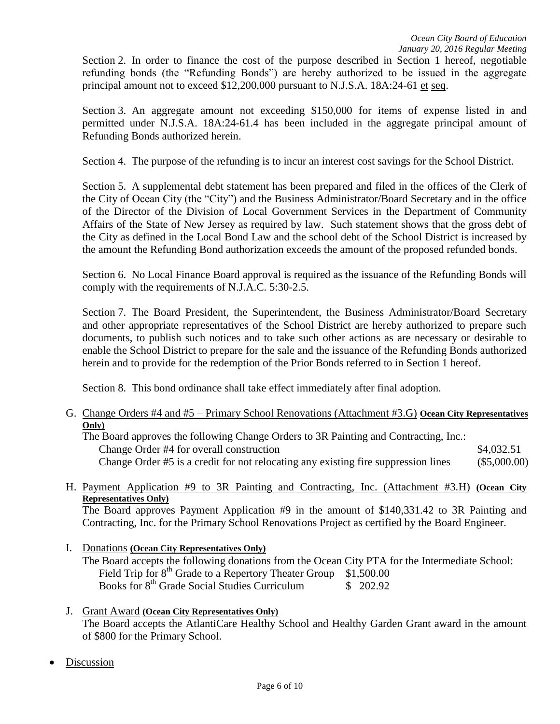Section 2. In order to finance the cost of the purpose described in Section 1 hereof, negotiable refunding bonds (the "Refunding Bonds") are hereby authorized to be issued in the aggregate principal amount not to exceed \$12,200,000 pursuant to N.J.S.A. 18A:24-61 et seq.

Section 3. An aggregate amount not exceeding \$150,000 for items of expense listed in and permitted under N.J.S.A. 18A:24-61.4 has been included in the aggregate principal amount of Refunding Bonds authorized herein.

Section 4. The purpose of the refunding is to incur an interest cost savings for the School District.

Section 5. A supplemental debt statement has been prepared and filed in the offices of the Clerk of the City of Ocean City (the "City") and the Business Administrator/Board Secretary and in the office of the Director of the Division of Local Government Services in the Department of Community Affairs of the State of New Jersey as required by law. Such statement shows that the gross debt of the City as defined in the Local Bond Law and the school debt of the School District is increased by the amount the Refunding Bond authorization exceeds the amount of the proposed refunded bonds.

Section 6. No Local Finance Board approval is required as the issuance of the Refunding Bonds will comply with the requirements of N.J.A.C. 5:30-2.5.

Section 7. The Board President, the Superintendent, the Business Administrator/Board Secretary and other appropriate representatives of the School District are hereby authorized to prepare such documents, to publish such notices and to take such other actions as are necessary or desirable to enable the School District to prepare for the sale and the issuance of the Refunding Bonds authorized herein and to provide for the redemption of the Prior Bonds referred to in Section 1 hereof.

Section 8. This bond ordinance shall take effect immediately after final adoption.

G. Change Orders #4 and #5 – Primary School Renovations (Attachment #3.G) **Ocean City Representatives Only)**

The Board approves the following Change Orders to 3R Painting and Contracting, Inc.: Change Order #4 for overall construction  $\text{84,032.51}$ Change Order #5 is a credit for not relocating any existing fire suppression lines (\$5,000.00)

H. Payment Application #9 to 3R Painting and Contracting, Inc. (Attachment #3.H) **(Ocean City Representatives Only)** 

The Board approves Payment Application #9 in the amount of \$140,331.42 to 3R Painting and Contracting, Inc. for the Primary School Renovations Project as certified by the Board Engineer.

- I. Donations **(Ocean City Representatives Only)** The Board accepts the following donations from the Ocean City PTA for the Intermediate School: Field Trip for  $8<sup>th</sup>$  Grade to a Repertory Theater Group \$1,500.00 Books for  $8<sup>th</sup>$  Grade Social Studies Curriculum  $$^{202.92}$
- J. Grant Award **(Ocean City Representatives Only)**  The Board accepts the AtlantiCare Healthy School and Healthy Garden Grant award in the amount of \$800 for the Primary School.
- Discussion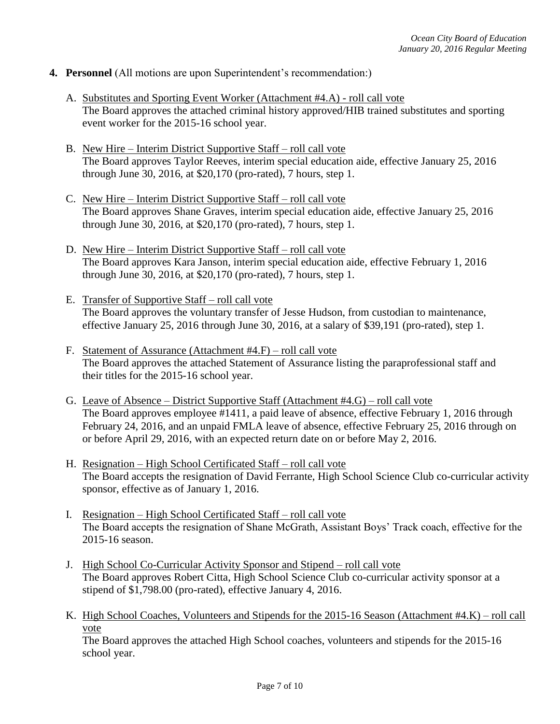### **4. Personnel** (All motions are upon Superintendent's recommendation:)

- A. Substitutes and Sporting Event Worker (Attachment #4.A) roll call vote The Board approves the attached criminal history approved/HIB trained substitutes and sporting event worker for the 2015-16 school year.
- B. New Hire Interim District Supportive Staff roll call vote The Board approves Taylor Reeves, interim special education aide, effective January 25, 2016 through June 30, 2016, at \$20,170 (pro-rated), 7 hours, step 1.
- C. New Hire Interim District Supportive Staff roll call vote The Board approves Shane Graves, interim special education aide, effective January 25, 2016 through June 30, 2016, at \$20,170 (pro-rated), 7 hours, step 1.
- D. New Hire Interim District Supportive Staff roll call vote The Board approves Kara Janson, interim special education aide, effective February 1, 2016 through June 30, 2016, at \$20,170 (pro-rated), 7 hours, step 1.
- E. Transfer of Supportive Staff roll call vote The Board approves the voluntary transfer of Jesse Hudson, from custodian to maintenance, effective January 25, 2016 through June 30, 2016, at a salary of \$39,191 (pro-rated), step 1.
- F. Statement of Assurance (Attachment #4.F) roll call vote The Board approves the attached Statement of Assurance listing the paraprofessional staff and their titles for the 2015-16 school year.
- G. Leave of Absence District Supportive Staff (Attachment #4.G) roll call vote The Board approves employee #1411, a paid leave of absence, effective February 1, 2016 through February 24, 2016, and an unpaid FMLA leave of absence, effective February 25, 2016 through on or before April 29, 2016, with an expected return date on or before May 2, 2016.
- H. Resignation High School Certificated Staff roll call vote The Board accepts the resignation of David Ferrante, High School Science Club co-curricular activity sponsor, effective as of January 1, 2016.
- I. Resignation High School Certificated Staff roll call vote The Board accepts the resignation of Shane McGrath, Assistant Boys' Track coach, effective for the 2015-16 season.
- J. High School Co-Curricular Activity Sponsor and Stipend roll call vote The Board approves Robert Citta, High School Science Club co-curricular activity sponsor at a stipend of \$1,798.00 (pro-rated), effective January 4, 2016.
- K. High School Coaches, Volunteers and Stipends for the 2015-16 Season (Attachment #4.K) roll call vote

The Board approves the attached High School coaches, volunteers and stipends for the 2015-16 school year.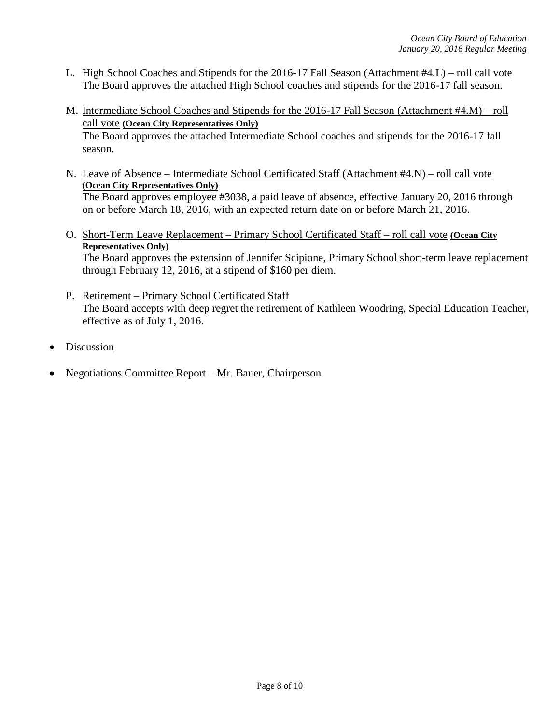- L. High School Coaches and Stipends for the 2016-17 Fall Season (Attachment #4.L) roll call vote The Board approves the attached High School coaches and stipends for the 2016-17 fall season.
- M. Intermediate School Coaches and Stipends for the 2016-17 Fall Season (Attachment #4.M) roll call vote **(Ocean City Representatives Only)** The Board approves the attached Intermediate School coaches and stipends for the 2016-17 fall season.
- N. Leave of Absence Intermediate School Certificated Staff (Attachment #4.N) roll call vote **(Ocean City Representatives Only)** The Board approves employee #3038, a paid leave of absence, effective January 20, 2016 through

on or before March 18, 2016, with an expected return date on or before March 21, 2016.

O. Short-Term Leave Replacement – Primary School Certificated Staff – roll call vote **(Ocean City Representatives Only)**

The Board approves the extension of Jennifer Scipione, Primary School short-term leave replacement through February 12, 2016, at a stipend of \$160 per diem.

- P. Retirement Primary School Certificated Staff The Board accepts with deep regret the retirement of Kathleen Woodring, Special Education Teacher, effective as of July 1, 2016.
- Discussion
- Negotiations Committee Report Mr. Bauer, Chairperson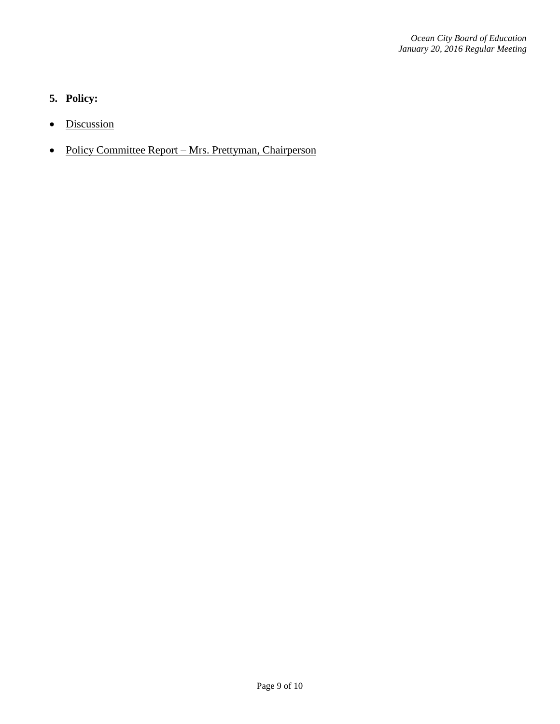# **5. Policy:**

- Discussion
- Policy Committee Report Mrs. Prettyman, Chairperson